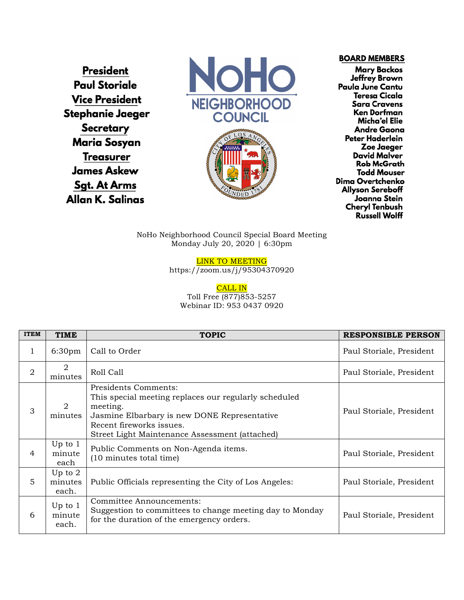**President Paul Storiale Vice President** Stephanie Jaeger **Secretary Maria Sosyan Treasurer James Askew Sgt. At Arms** Allan K. Salinas





**BOARD MEMBERS** 

**Mary Backos** Jeffrey Brown Paula June Cantu **Teresa Cicala Sara Cravens Ken Dorfman** Micha'el Elie **Andre Gaona** Peter Haderlein Zoe Jaeger David Malver **Rob McGrath Todd Mouser** Dima Overtchenko **Allyson Sereboff** Joanna Stein **Cheryl Tenbush Russell Wolff** 

NoHo Neighborhood Council Special Board Meeting Monday July 20, 2020 | 6:30pm

LINK TO MEETING

https://zoom.us/j/95304370920

CALL IN Toll Free (877)853-5257 Webinar ID: 953 0437 0920

| <b>ITEM</b>    | <b>TIME</b>                   | <b>TOPIC</b>                                                                                                                                                                                                            | <b>RESPONSIBLE PERSON</b> |
|----------------|-------------------------------|-------------------------------------------------------------------------------------------------------------------------------------------------------------------------------------------------------------------------|---------------------------|
| 1              | 6:30 <sub>pm</sub>            | Call to Order                                                                                                                                                                                                           | Paul Storiale, President  |
| $\overline{2}$ | 2<br>minutes                  | Roll Call                                                                                                                                                                                                               | Paul Storiale, President  |
| 3              | 2<br>minutes                  | Presidents Comments:<br>This special meeting replaces our regularly scheduled<br>meeting.<br>Jasmine Elbarbary is new DONE Representative<br>Recent fireworks issues.<br>Street Light Maintenance Assessment (attached) | Paul Storiale, President  |
| 4              | Up to $1$<br>minute<br>each   | Public Comments on Non-Agenda items.<br>(10 minutes total time)                                                                                                                                                         | Paul Storiale, President  |
| 5              | Up to $2$<br>minutes<br>each. | Public Officials representing the City of Los Angeles:                                                                                                                                                                  | Paul Storiale, President  |
| 6              | Up to $1$<br>minute<br>each.  | Committee Announcements:<br>Suggestion to committees to change meeting day to Monday<br>for the duration of the emergency orders.                                                                                       | Paul Storiale, President  |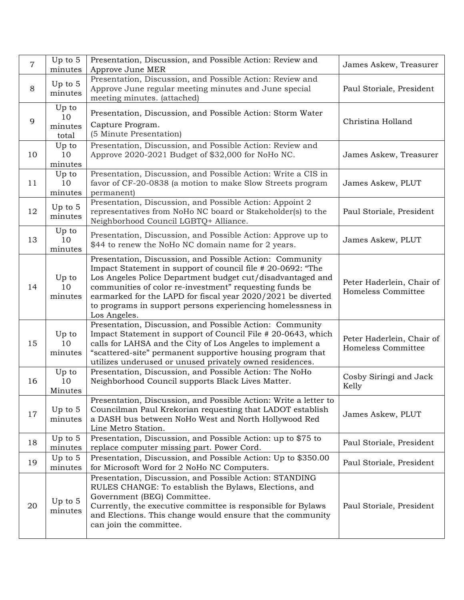| $\overline{7}$ | Up to 5<br>minutes              | Presentation, Discussion, and Possible Action: Review and<br>Approve June MER                                                                                                                                                                                                                                                                                                                  | James Askew, Treasurer                          |
|----------------|---------------------------------|------------------------------------------------------------------------------------------------------------------------------------------------------------------------------------------------------------------------------------------------------------------------------------------------------------------------------------------------------------------------------------------------|-------------------------------------------------|
| 8              | Up to $5$<br>minutes            | Presentation, Discussion, and Possible Action: Review and<br>Approve June regular meeting minutes and June special<br>meeting minutes. (attached)                                                                                                                                                                                                                                              | Paul Storiale, President                        |
| 9              | Up to<br>10<br>minutes<br>total | Presentation, Discussion, and Possible Action: Storm Water<br>Capture Program.<br>(5 Minute Presentation)                                                                                                                                                                                                                                                                                      | Christina Holland                               |
| 10             | Up to<br>10<br>minutes          | Presentation, Discussion, and Possible Action: Review and<br>Approve 2020-2021 Budget of \$32,000 for NoHo NC.                                                                                                                                                                                                                                                                                 | James Askew, Treasurer                          |
| 11             | Up to<br>10<br>minutes          | Presentation, Discussion, and Possible Action: Write a CIS in<br>favor of CF-20-0838 (a motion to make Slow Streets program<br>permanent)                                                                                                                                                                                                                                                      | James Askew, PLUT                               |
| 12             | Up to $5$<br>minutes            | Presentation, Discussion, and Possible Action: Appoint 2<br>representatives from NoHo NC board or Stakeholder(s) to the<br>Neighborhood Council LGBTQ+ Alliance.                                                                                                                                                                                                                               | Paul Storiale, President                        |
| 13             | Up to<br>10<br>minutes          | Presentation, Discussion, and Possible Action: Approve up to<br>\$44 to renew the NoHo NC domain name for 2 years.                                                                                                                                                                                                                                                                             | James Askew, PLUT                               |
| 14             | Up to<br>10<br>minutes          | Presentation, Discussion, and Possible Action: Community<br>Impact Statement in support of council file #20-0692: "The<br>Los Angeles Police Department budget cut/disadvantaged and<br>communities of color re-investment" requesting funds be<br>earmarked for the LAPD for fiscal year 2020/2021 be diverted<br>to programs in support persons experiencing homelessness in<br>Los Angeles. | Peter Haderlein, Chair of<br>Homeless Committee |
| 15             | Up to<br>10<br>minutes          | Presentation, Discussion, and Possible Action: Community<br>Impact Statement in support of Council File # 20-0643, which<br>calls for LAHSA and the City of Los Angeles to implement a<br>"scattered-site" permanent supportive housing program that<br>utilizes underused or unused privately owned residences.                                                                               | Peter Haderlein, Chair of<br>Homeless Committee |
| 16             | Up to<br>10<br>Minutes          | Presentation, Discussion, and Possible Action: The NoHo<br>Neighborhood Council supports Black Lives Matter.                                                                                                                                                                                                                                                                                   | Cosby Siringi and Jack<br>Kelly                 |
| 17             | Up to 5<br>minutes              | Presentation, Discussion, and Possible Action: Write a letter to<br>Councilman Paul Krekorian requesting that LADOT establish<br>a DASH bus between NoHo West and North Hollywood Red<br>Line Metro Station.                                                                                                                                                                                   | James Askew, PLUT                               |
| 18             | Up to $5$<br>minutes            | Presentation, Discussion, and Possible Action: up to \$75 to<br>replace computer missing part. Power Cord.                                                                                                                                                                                                                                                                                     | Paul Storiale, President                        |
| 19             | Up to $5$<br>minutes            | Presentation, Discussion, and Possible Action: Up to \$350.00<br>for Microsoft Word for 2 NoHo NC Computers.                                                                                                                                                                                                                                                                                   | Paul Storiale, President                        |
| 20             | Up to 5<br>minutes              | Presentation, Discussion, and Possible Action: STANDING<br>RULES CHANGE: To establish the Bylaws, Elections, and<br>Government (BEG) Committee.<br>Currently, the executive committee is responsible for Bylaws<br>and Elections. This change would ensure that the community<br>can join the committee.                                                                                       | Paul Storiale, President                        |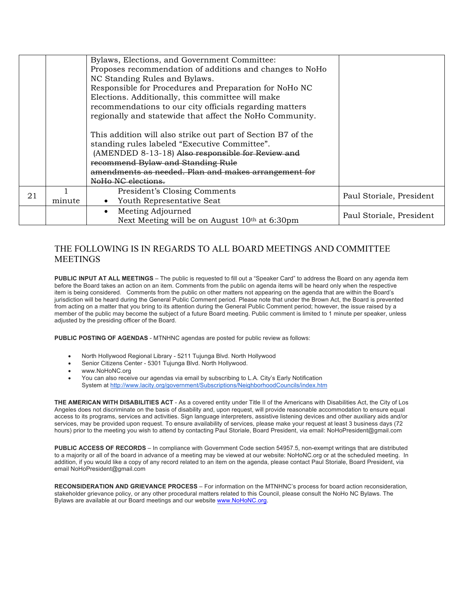|    |        | Bylaws, Elections, and Government Committee:<br>Proposes recommendation of additions and changes to NoHo<br>NC Standing Rules and Bylaws.<br>Responsible for Procedures and Preparation for NoHo NC<br>Elections. Additionally, this committee will make<br>recommendations to our city officials regarding matters<br>regionally and statewide that affect the NoHo Community.<br>This addition will also strike out part of Section B7 of the<br>standing rules labeled "Executive Committee".<br>(AMENDED 8-13-18) Also responsible for Review and<br>recommend Bylaw and Standing Rule |                          |
|----|--------|--------------------------------------------------------------------------------------------------------------------------------------------------------------------------------------------------------------------------------------------------------------------------------------------------------------------------------------------------------------------------------------------------------------------------------------------------------------------------------------------------------------------------------------------------------------------------------------------|--------------------------|
|    |        | amendments as needed. Plan and makes arrangement for<br>NoHo NC elections.                                                                                                                                                                                                                                                                                                                                                                                                                                                                                                                 |                          |
| 21 | minute | President's Closing Comments<br>Youth Representative Seat<br>$\bullet$                                                                                                                                                                                                                                                                                                                                                                                                                                                                                                                     | Paul Storiale, President |
|    |        | Meeting Adjourned<br>$\bullet$<br>Next Meeting will be on August 10 <sup>th</sup> at 6:30pm                                                                                                                                                                                                                                                                                                                                                                                                                                                                                                | Paul Storiale, President |

# THE FOLLOWING IS IN REGARDS TO ALL BOARD MEETINGS AND COMMITTEE MEETINGS

**PUBLIC INPUT AT ALL MEETINGS** – The public is requested to fill out a "Speaker Card" to address the Board on any agenda item before the Board takes an action on an item. Comments from the public on agenda items will be heard only when the respective item is being considered. Comments from the public on other matters not appearing on the agenda that are within the Board's jurisdiction will be heard during the General Public Comment period. Please note that under the Brown Act, the Board is prevented from acting on a matter that you bring to its attention during the General Public Comment period; however, the issue raised by a member of the public may become the subject of a future Board meeting. Public comment is limited to 1 minute per speaker, unless adjusted by the presiding officer of the Board.

**PUBLIC POSTING OF AGENDAS** - MTNHNC agendas are posted for public review as follows:

- North Hollywood Regional Library 5211 Tujunga Blvd. North Hollywood
- Senior Citizens Center 5301 Tujunga Blvd. North Hollywood.
- www.NoHoNC.org
- You can also receive our agendas via email by subscribing to L.A. City's Early Notification System at http://www.lacity.org/government/Subscriptions/NeighborhoodCouncils/index.htm

**THE AMERICAN WITH DISABILITIES ACT** - As a covered entity under Title II of the Americans with Disabilities Act, the City of Los Angeles does not discriminate on the basis of disability and, upon request, will provide reasonable accommodation to ensure equal access to its programs, services and activities. Sign language interpreters, assistive listening devices and other auxiliary aids and/or services, may be provided upon request. To ensure availability of services, please make your request at least 3 business days (72 hours) prior to the meeting you wish to attend by contacting Paul Storiale, Board President, via email: NoHoPresident@gmail.com

**PUBLIC ACCESS OF RECORDS** – In compliance with Government Code section 54957.5, non-exempt writings that are distributed to a majority or all of the board in advance of a meeting may be viewed at our website: NoHoNC.org or at the scheduled meeting. In addition, if you would like a copy of any record related to an item on the agenda, please contact Paul Storiale, Board President, via email NoHoPresident@gmail.com

**RECONSIDERATION AND GRIEVANCE PROCESS** – For information on the MTNHNC's process for board action reconsideration, stakeholder grievance policy, or any other procedural matters related to this Council, please consult the NoHo NC Bylaws. The Bylaws are available at our Board meetings and our website www.NoHoNC.org.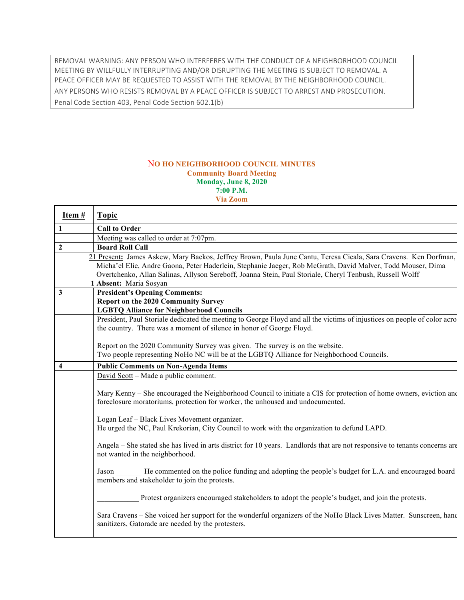REMOVAL WARNING: ANY PERSON WHO INTERFERES WITH THE CONDUCT OF A NEIGHBORHOOD COUNCIL MEETING BY WILLFULLY INTERRUPTING AND/OR DISRUPTING THE MEETING IS SUBJECT TO REMOVAL. A PEACE OFFICER MAY BE REQUESTED TO ASSIST WITH THE REMOVAL BY THE NEIGHBORHOOD COUNCIL. ANY PERSONS WHO RESISTS REMOVAL BY A PEACE OFFICER IS SUBJECT TO ARREST AND PROSECUTION. Penal Code Section 403, Penal Code Section 602.1(b)

## N**O HO NEIGHBORHOOD COUNCIL MINUTES Community Board Meeting Monday, June 8, 2020 7:00 P.M. Via Zoom**

Г

| Item#          | <b>Topic</b>                                                                                                                                                                                                                                                                                                                                                          |
|----------------|-----------------------------------------------------------------------------------------------------------------------------------------------------------------------------------------------------------------------------------------------------------------------------------------------------------------------------------------------------------------------|
| $\mathbf{1}$   | <b>Call to Order</b>                                                                                                                                                                                                                                                                                                                                                  |
|                | Meeting was called to order at 7:07pm.                                                                                                                                                                                                                                                                                                                                |
| $\overline{2}$ | <b>Board Roll Call</b>                                                                                                                                                                                                                                                                                                                                                |
|                | 21 Present: James Askew, Mary Backos, Jeffrey Brown, Paula June Cantu, Teresa Cicala, Sara Cravens. Ken Dorfman,<br>Micha'el Elie, Andre Gaona, Peter Haderlein, Stephanie Jaeger, Rob McGrath, David Malver, Todd Mouser, Dima<br>Overtchenko, Allan Salinas, Allyson Sereboff, Joanna Stein, Paul Storiale, Cheryl Tenbush, Russell Wolff<br>1 Absent: Maria Sosyan |
| 3              | <b>President's Opening Comments:</b>                                                                                                                                                                                                                                                                                                                                  |
|                | <b>Report on the 2020 Community Survey</b><br><b>LGBTQ Alliance for Neighborhood Councils</b>                                                                                                                                                                                                                                                                         |
|                | President, Paul Storiale dedicated the meeting to George Floyd and all the victims of injustices on people of color acro<br>the country. There was a moment of silence in honor of George Floyd.                                                                                                                                                                      |
|                | Report on the 2020 Community Survey was given. The survey is on the website.<br>Two people representing NoHo NC will be at the LGBTQ Alliance for Neighborhood Councils.                                                                                                                                                                                              |
| 4              | <b>Public Comments on Non-Agenda Items</b>                                                                                                                                                                                                                                                                                                                            |
|                | David Scott – Made a public comment.                                                                                                                                                                                                                                                                                                                                  |
|                | Mary Kenny – She encouraged the Neighborhood Council to initiate a CIS for protection of home owners, eviction and<br>foreclosure moratoriums, protection for worker, the unhoused and undocumented.                                                                                                                                                                  |
|                | Logan Leaf - Black Lives Movement organizer.<br>He urged the NC, Paul Krekorian, City Council to work with the organization to defund LAPD.                                                                                                                                                                                                                           |
|                | Angela – She stated she has lived in arts district for 10 years. Landlords that are not responsive to tenants concerns are<br>not wanted in the neighborhood.                                                                                                                                                                                                         |
|                | Jason He commented on the police funding and adopting the people's budget for L.A. and encouraged board<br>members and stakeholder to join the protests.                                                                                                                                                                                                              |
|                | Protest organizers encouraged stakeholders to adopt the people's budget, and join the protests.                                                                                                                                                                                                                                                                       |
|                | Sara Cravens – She voiced her support for the wonderful organizers of the NoHo Black Lives Matter. Sunscreen, hand<br>sanitizers, Gatorade are needed by the protesters.                                                                                                                                                                                              |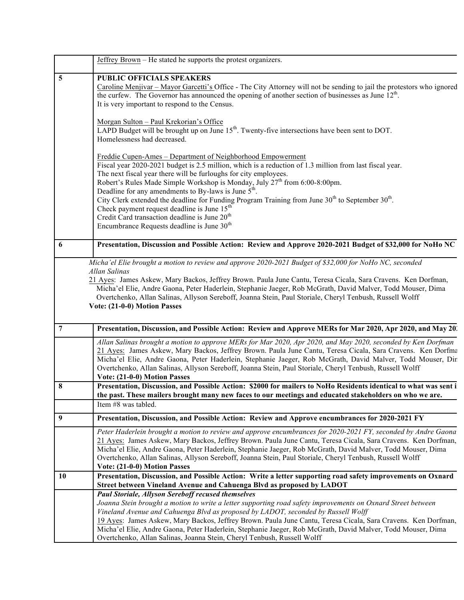|                  | Jeffrey Brown - He stated he supports the protest organizers.                                                                                                                                                                                                                                                                                                                                                                                                                                                                                                                                                                                                                                                                                                                                                                                                                                                                                                                                                                                                                                                                                                                                                      |
|------------------|--------------------------------------------------------------------------------------------------------------------------------------------------------------------------------------------------------------------------------------------------------------------------------------------------------------------------------------------------------------------------------------------------------------------------------------------------------------------------------------------------------------------------------------------------------------------------------------------------------------------------------------------------------------------------------------------------------------------------------------------------------------------------------------------------------------------------------------------------------------------------------------------------------------------------------------------------------------------------------------------------------------------------------------------------------------------------------------------------------------------------------------------------------------------------------------------------------------------|
| 5                | <b>PUBLIC OFFICIALS SPEAKERS</b><br>Caroline Menjivar – Mayor Garcetti's Office - The City Attorney will not be sending to jail the protestors who ignored<br>the curfew. The Governor has announced the opening of another section of businesses as June $12th$ .<br>It is very important to respond to the Census.<br>Morgan Sulton - Paul Krekorian's Office<br>LAPD Budget will be brought up on June 15 <sup>th</sup> . Twenty-five intersections have been sent to DOT.<br>Homelessness had decreased.<br>Freddie Cupen-Ames - Department of Neighborhood Empowerment<br>Fiscal year 2020-2021 budget is 2.5 million, which is a reduction of 1.3 million from last fiscal year.<br>The next fiscal year there will be furloughs for city employees.<br>Robert's Rules Made Simple Workshop is Monday, July 27 <sup>th</sup> from 6:00-8:00pm.<br>Deadline for any amendments to By-laws is June 5 <sup>th</sup> .<br>City Clerk extended the deadline for Funding Program Training from June $30th$ to September $30th$ .<br>Check payment request deadline is June 15 <sup>th</sup><br>Credit Card transaction deadline is June 20 <sup>th</sup><br>Encumbrance Requests deadline is June 30 <sup>th</sup> |
| 6                | Presentation, Discussion and Possible Action: Review and Approve 2020-2021 Budget of \$32,000 for NoHo NC                                                                                                                                                                                                                                                                                                                                                                                                                                                                                                                                                                                                                                                                                                                                                                                                                                                                                                                                                                                                                                                                                                          |
|                  | Allan Salinas<br>21 Ayes: James Askew, Mary Backos, Jeffrey Brown. Paula June Cantu, Teresa Cicala, Sara Cravens. Ken Dorfman,<br>Micha'el Elie, Andre Gaona, Peter Haderlein, Stephanie Jaeger, Rob McGrath, David Malver, Todd Mouser, Dima<br>Overtchenko, Allan Salinas, Allyson Sereboff, Joanna Stein, Paul Storiale, Cheryl Tenbush, Russell Wolff<br>Vote: (21-0-0) Motion Passes                                                                                                                                                                                                                                                                                                                                                                                                                                                                                                                                                                                                                                                                                                                                                                                                                          |
| 7                | Presentation, Discussion, and Possible Action: Review and Approve MERs for Mar 2020, Apr 2020, and May 20.                                                                                                                                                                                                                                                                                                                                                                                                                                                                                                                                                                                                                                                                                                                                                                                                                                                                                                                                                                                                                                                                                                         |
|                  | Allan Salinas brought a motion to approve MERs for Mar 2020, Apr 2020, and May 2020, seconded by Ken Dorfman<br>21 Ayes: James Askew, Mary Backos, Jeffrey Brown. Paula June Cantu, Teresa Cicala, Sara Cravens. Ken Dorfma<br>Micha'el Elie, Andre Gaona, Peter Haderlein, Stephanie Jaeger, Rob McGrath, David Malver, Todd Mouser, Dir<br>Overtchenko, Allan Salinas, Allyson Sereboff, Joanna Stein, Paul Storiale, Cheryl Tenbush, Russell Wolff<br>Vote: (21-0-0) Motion Passes                                                                                                                                                                                                                                                                                                                                                                                                                                                                                                                                                                                                                                                                                                                              |
| 8                | Presentation, Discussion, and Possible Action: \$2000 for mailers to NoHo Residents identical to what was sent i<br>the past. These mailers brought many new faces to our meetings and educated stakeholders on who we are.<br>Item #8 was tabled.                                                                                                                                                                                                                                                                                                                                                                                                                                                                                                                                                                                                                                                                                                                                                                                                                                                                                                                                                                 |
| $\boldsymbol{9}$ | Presentation, Discussion, and Possible Action: Review and Approve encumbrances for 2020-2021 FY                                                                                                                                                                                                                                                                                                                                                                                                                                                                                                                                                                                                                                                                                                                                                                                                                                                                                                                                                                                                                                                                                                                    |
|                  | Peter Haderlein brought a motion to review and approve encumbrances for 2020-2021 FY, seconded by Andre Gaona<br>21 Ayes: James Askew, Mary Backos, Jeffrey Brown. Paula June Cantu, Teresa Cicala, Sara Cravens. Ken Dorfman,<br>Micha'el Elie, Andre Gaona, Peter Haderlein, Stephanie Jaeger, Rob McGrath, David Malver, Todd Mouser, Dima<br>Overtchenko, Allan Salinas, Allyson Sereboff, Joanna Stein, Paul Storiale, Cheryl Tenbush, Russell Wolff<br>Vote: (21-0-0) Motion Passes                                                                                                                                                                                                                                                                                                                                                                                                                                                                                                                                                                                                                                                                                                                          |
| 10               | Presentation, Discussion, and Possible Action: Write a letter supporting road safety improvements on Oxnard<br>Street between Vineland Avenue and Cahuenga Blvd as proposed by LADOT                                                                                                                                                                                                                                                                                                                                                                                                                                                                                                                                                                                                                                                                                                                                                                                                                                                                                                                                                                                                                               |
|                  | <b>Paul Storiale, Allyson Sereboff recused themselves</b><br>Joanna Stein brought a motion to write a letter supporting road safety improvements on Oxnard Street between<br>Vineland Avenue and Cahuenga Blvd as proposed by LADOT, seconded by Russell Wolff<br>19 Ayes: James Askew, Mary Backos, Jeffrey Brown. Paula June Cantu, Teresa Cicala, Sara Cravens. Ken Dorfman,<br>Micha'el Elie, Andre Gaona, Peter Haderlein, Stephanie Jaeger, Rob McGrath, David Malver, Todd Mouser, Dima<br>Overtchenko, Allan Salinas, Joanna Stein, Cheryl Tenbush, Russell Wolff                                                                                                                                                                                                                                                                                                                                                                                                                                                                                                                                                                                                                                          |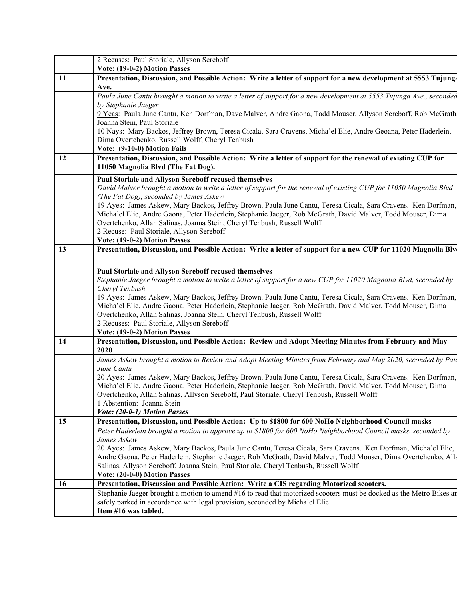|    | 2 Recuses: Paul Storiale, Allyson Sereboff<br>Vote: (19-0-2) Motion Passes                                                                                                                                                   |
|----|------------------------------------------------------------------------------------------------------------------------------------------------------------------------------------------------------------------------------|
| 11 | Presentation, Discussion, and Possible Action: Write a letter of support for a new development at 5553 Tujung:                                                                                                               |
|    | Ave.                                                                                                                                                                                                                         |
|    | Paula June Cantu brought a motion to write a letter of support for a new development at 5553 Tujunga Ave., seconded                                                                                                          |
|    | by Stephanie Jaeger<br>9 Yeas: Paula June Cantu, Ken Dorfman, Dave Malver, Andre Gaona, Todd Mouser, Allyson Sereboff, Rob McGrath                                                                                           |
|    | Joanna Stein, Paul Storiale                                                                                                                                                                                                  |
|    | 10 Nays: Mary Backos, Jeffrey Brown, Teresa Cicala, Sara Cravens, Micha'el Elie, Andre Geoana, Peter Haderlein,                                                                                                              |
|    | Dima Overtchenko, Russell Wolff, Cheryl Tenbush                                                                                                                                                                              |
|    | Vote: (9-10-0) Motion Fails                                                                                                                                                                                                  |
| 12 | Presentation, Discussion, and Possible Action: Write a letter of support for the renewal of existing CUP for                                                                                                                 |
|    | 11050 Magnolia Blvd (The Fat Dog).                                                                                                                                                                                           |
|    | Paul Storiale and Allyson Sereboff recused themselves                                                                                                                                                                        |
|    | David Malver brought a motion to write a letter of support for the renewal of existing CUP for 11050 Magnolia Blvd<br>(The Fat Dog), seconded by James Askew                                                                 |
|    | 19 Ayes: James Askew, Mary Backos, Jeffrey Brown. Paula June Cantu, Teresa Cicala, Sara Cravens. Ken Dorfman,                                                                                                                |
|    | Micha'el Elie, Andre Gaona, Peter Haderlein, Stephanie Jaeger, Rob McGrath, David Malver, Todd Mouser, Dima                                                                                                                  |
|    | Overtchenko, Allan Salinas, Joanna Stein, Cheryl Tenbush, Russell Wolff                                                                                                                                                      |
|    | 2 Recuse: Paul Storiale, Allyson Sereboff                                                                                                                                                                                    |
| 13 | Vote: (19-0-2) Motion Passes<br>Presentation, Discussion, and Possible Action: Write a letter of support for a new CUP for 11020 Magnolia Blv                                                                                |
|    |                                                                                                                                                                                                                              |
|    | Paul Storiale and Allyson Sereboff recused themselves                                                                                                                                                                        |
|    | Stephanie Jaeger brought a motion to write a letter of support for a new CUP for 11020 Magnolia Blvd, seconded by                                                                                                            |
|    | Cheryl Tenbush                                                                                                                                                                                                               |
|    | 19 Ayes: James Askew, Mary Backos, Jeffrey Brown. Paula June Cantu, Teresa Cicala, Sara Cravens. Ken Dorfman,                                                                                                                |
|    | Micha'el Elie, Andre Gaona, Peter Haderlein, Stephanie Jaeger, Rob McGrath, David Malver, Todd Mouser, Dima                                                                                                                  |
|    | Overtchenko, Allan Salinas, Joanna Stein, Cheryl Tenbush, Russell Wolff                                                                                                                                                      |
|    | 2 Recuses: Paul Storiale, Allyson Sereboff<br>Vote: (19-0-2) Motion Passes                                                                                                                                                   |
| 14 | Presentation, Discussion, and Possible Action: Review and Adopt Meeting Minutes from February and May                                                                                                                        |
|    | 2020                                                                                                                                                                                                                         |
|    | James Askew brought a motion to Review and Adopt Meeting Minutes from February and May 2020, seconded by Pau                                                                                                                 |
|    | June Cantu                                                                                                                                                                                                                   |
|    | 20 Ayes: James Askew, Mary Backos, Jeffrey Brown. Paula June Cantu, Teresa Cicala, Sara Cravens. Ken Dorfman,<br>Micha'el Elie, Andre Gaona, Peter Haderlein, Stephanie Jaeger, Rob McGrath, David Malver, Todd Mouser, Dima |
|    | Overtchenko, Allan Salinas, Allyson Sereboff, Paul Storiale, Cheryl Tenbush, Russell Wolff                                                                                                                                   |
|    | 1 Abstention: Joanna Stein                                                                                                                                                                                                   |
|    | Vote: (20-0-1) Motion Passes                                                                                                                                                                                                 |
| 15 | Presentation, Discussion, and Possible Action: Up to \$1800 for 600 NoHo Neighborhood Council masks                                                                                                                          |
|    | Peter Haderlein brought a motion to approve up to \$1800 for 600 NoHo Neighborhood Council masks, seconded by                                                                                                                |
|    | James Askew<br>20 Ayes: James Askew, Mary Backos, Paula June Cantu, Teresa Cicala, Sara Cravens. Ken Dorfman, Micha'el Elie,                                                                                                 |
|    | Andre Gaona, Peter Haderlein, Stephanie Jaeger, Rob McGrath, David Malver, Todd Mouser, Dima Overtchenko, Alla                                                                                                               |
|    | Salinas, Allyson Sereboff, Joanna Stein, Paul Storiale, Cheryl Tenbush, Russell Wolff                                                                                                                                        |
|    | Vote: (20-0-0) Motion Passes                                                                                                                                                                                                 |
| 16 | Presentation, Discussion and Possible Action: Write a CIS regarding Motorized scooters.                                                                                                                                      |
|    | Stephanie Jaeger brought a motion to amend #16 to read that motorized scooters must be docked as the Metro Bikes ar                                                                                                          |
|    | safely parked in accordance with legal provision, seconded by Micha'el Elie<br>Item #16 was tabled.                                                                                                                          |
|    |                                                                                                                                                                                                                              |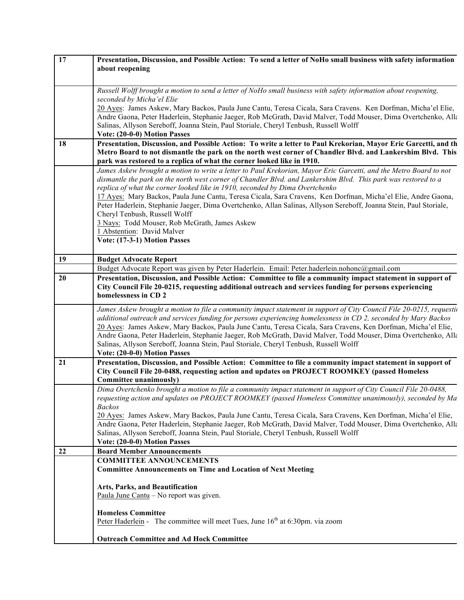| 17 | Presentation, Discussion, and Possible Action: To send a letter of NoHo small business with safety information                                                                                                                      |
|----|-------------------------------------------------------------------------------------------------------------------------------------------------------------------------------------------------------------------------------------|
|    | about reopening                                                                                                                                                                                                                     |
|    |                                                                                                                                                                                                                                     |
|    | Russell Wolff brought a motion to send a letter of NoHo small business with safety information about reopening,<br>seconded by Micha'el Elie                                                                                        |
|    | 20 Ayes: James Askew, Mary Backos, Paula June Cantu, Teresa Cicala, Sara Cravens. Ken Dorfman, Micha'el Elie,                                                                                                                       |
|    | Andre Gaona, Peter Haderlein, Stephanie Jaeger, Rob McGrath, David Malver, Todd Mouser, Dima Overtchenko, Alla                                                                                                                      |
|    | Salinas, Allyson Sereboff, Joanna Stein, Paul Storiale, Cheryl Tenbush, Russell Wolff                                                                                                                                               |
|    | Vote: (20-0-0) Motion Passes                                                                                                                                                                                                        |
| 18 | Presentation, Discussion, and Possible Action: To write a letter to Paul Krekorian, Mayor Eric Garcetti, and th<br>Metro Board to not dismantle the park on the north west corner of Chandler Blvd. and Lankershim Blvd. This       |
|    | park was restored to a replica of what the corner looked like in 1910.                                                                                                                                                              |
|    | James Askew brought a motion to write a letter to Paul Krekorian, Mayor Eric Garcetti, and the Metro Board to not                                                                                                                   |
|    | dismantle the park on the north west corner of Chandler Blvd. and Lankershim Blvd. This park was restored to a                                                                                                                      |
|    | replica of what the corner looked like in 1910, seconded by Dima Overtchenko                                                                                                                                                        |
|    | 17 Ayes: Mary Backos, Paula June Cantu, Teresa Cicala, Sara Cravens, Ken Dorfman, Micha'el Elie, Andre Gaona,<br>Peter Haderlein, Stephanie Jaeger, Dima Overtchenko, Allan Salinas, Allyson Sereboff, Joanna Stein, Paul Storiale, |
|    | Cheryl Tenbush, Russell Wolff                                                                                                                                                                                                       |
|    | 3 Nays: Todd Mouser, Rob McGrath, James Askew                                                                                                                                                                                       |
|    | 1 Abstention: David Malver                                                                                                                                                                                                          |
|    | Vote: (17-3-1) Motion Passes                                                                                                                                                                                                        |
|    |                                                                                                                                                                                                                                     |
| 19 | <b>Budget Advocate Report</b><br>Budget Advocate Report was given by Peter Haderlein. Email: Peter.haderlein.nohonc@gmail.com                                                                                                       |
| 20 | Presentation, Discussion, and Possible Action: Committee to file a community impact statement in support of                                                                                                                         |
|    | City Council File 20-0215, requesting additional outreach and services funding for persons experiencing                                                                                                                             |
|    | homelessness in CD 2                                                                                                                                                                                                                |
|    | James Askew brought a motion to file a community impact statement in support of City Council File 20-0215, requestin                                                                                                                |
|    | additional outreach and services funding for persons experiencing homelessness in CD 2, seconded by Mary Backos                                                                                                                     |
|    | 20 Ayes: James Askew, Mary Backos, Paula June Cantu, Teresa Cicala, Sara Cravens, Ken Dorfman, Micha'el Elie,                                                                                                                       |
|    | Andre Gaona, Peter Haderlein, Stephanie Jaeger, Rob McGrath, David Malver, Todd Mouser, Dima Overtchenko, Alla                                                                                                                      |
|    | Salinas, Allyson Sereboff, Joanna Stein, Paul Storiale, Cheryl Tenbush, Russell Wolff<br>Vote: (20-0-0) Motion Passes                                                                                                               |
| 21 | Presentation, Discussion, and Possible Action: Committee to file a community impact statement in support of                                                                                                                         |
|    | City Council File 20-0488, requesting action and updates on PROJECT ROOMKEY (passed Homeless                                                                                                                                        |
|    | Committee unanimously)                                                                                                                                                                                                              |
|    | Dima Overtchenko brought a motion to file a community impact statement in support of City Council File 20-0488,                                                                                                                     |
|    | requesting action and updates on PROJECT ROOMKEY (passed Homeless Committee unanimously), seconded by Ma                                                                                                                            |
|    | <b>Backos</b><br>20 Ayes: James Askew, Mary Backos, Paula June Cantu, Teresa Cicala, Sara Cravens, Ken Dorfman, Micha'el Elie,                                                                                                      |
|    | Andre Gaona, Peter Haderlein, Stephanie Jaeger, Rob McGrath, David Malver, Todd Mouser, Dima Overtchenko, Alla                                                                                                                      |
|    | Salinas, Allyson Sereboff, Joanna Stein, Paul Storiale, Cheryl Tenbush, Russell Wolff                                                                                                                                               |
|    | Vote: (20-0-0) Motion Passes                                                                                                                                                                                                        |
| 22 | <b>Board Member Announcements</b>                                                                                                                                                                                                   |
|    | <b>COMMITTEE ANNOUNCEMENTS</b>                                                                                                                                                                                                      |
|    | <b>Committee Announcements on Time and Location of Next Meeting</b>                                                                                                                                                                 |
|    | Arts, Parks, and Beautification                                                                                                                                                                                                     |
|    | Paula June Cantu - No report was given.                                                                                                                                                                                             |
|    |                                                                                                                                                                                                                                     |
|    | <b>Homeless Committee</b><br>Peter Haderlein - The committee will meet Tues, June 16 <sup>th</sup> at 6:30pm. via zoom                                                                                                              |
|    |                                                                                                                                                                                                                                     |
|    | <b>Outreach Committee and Ad Hock Committee</b>                                                                                                                                                                                     |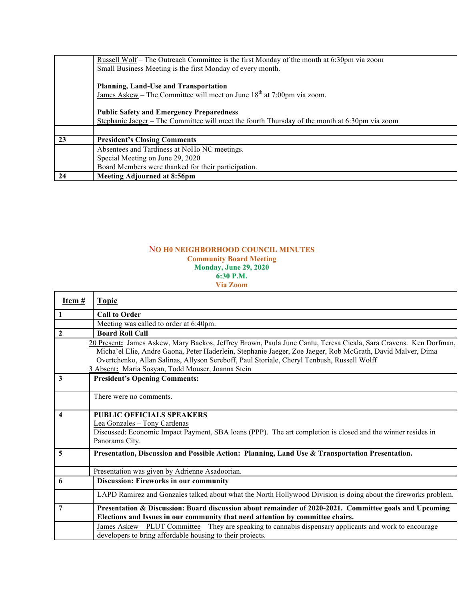|    | Russell Wolf – The Outreach Committee is the first Monday of the month at 6:30pm via zoom      |
|----|------------------------------------------------------------------------------------------------|
|    | Small Business Meeting is the first Monday of every month.                                     |
|    |                                                                                                |
|    | Planning, Land-Use and Transportation                                                          |
|    | James Askew – The Committee will meet on June $18th$ at 7:00pm via zoom.                       |
|    |                                                                                                |
|    | <b>Public Safety and Emergency Preparedness</b>                                                |
|    | Stephanie Jaeger – The Committee will meet the fourth Thursday of the month at 6:30pm via zoom |
|    |                                                                                                |
| 23 | <b>President's Closing Comments</b>                                                            |
|    | Absentees and Tardiness at NoHo NC meetings.                                                   |
|    | Special Meeting on June 29, 2020                                                               |
|    | Board Members were thanked for their participation.                                            |
| 24 | Meeting Adjourned at 8:56pm                                                                    |

### N**O H0 NEIGHBORHOOD COUNCIL MINUTES Community Board Meeting Monday, June 29, 2020 6:30 P.M. Via Zoom**

| Item # | <b>Topic</b>                                                                                                                                                                                                                                                                                                                                                                      |
|--------|-----------------------------------------------------------------------------------------------------------------------------------------------------------------------------------------------------------------------------------------------------------------------------------------------------------------------------------------------------------------------------------|
| 1      | <b>Call to Order</b>                                                                                                                                                                                                                                                                                                                                                              |
|        | Meeting was called to order at 6:40pm.                                                                                                                                                                                                                                                                                                                                            |
| 2      | <b>Board Roll Call</b>                                                                                                                                                                                                                                                                                                                                                            |
|        | 20 Present: James Askew, Mary Backos, Jeffrey Brown, Paula June Cantu, Teresa Cicala, Sara Cravens. Ken Dorfman,<br>Micha'el Elie, Andre Gaona, Peter Haderlein, Stephanie Jaeger, Zoe Jaeger, Rob McGrath, David Malver, Dima<br>Overtchenko, Allan Salinas, Allyson Sereboff, Paul Storiale, Cheryl Tenbush, Russell Wolff<br>3 Absent: Maria Sosyan, Todd Mouser, Joanna Stein |
| 3      | <b>President's Opening Comments:</b>                                                                                                                                                                                                                                                                                                                                              |
|        | There were no comments.                                                                                                                                                                                                                                                                                                                                                           |
| 4      | PUBLIC OFFICIALS SPEAKERS<br>Lea Gonzales - Tony Cardenas<br>Discussed: Economic Impact Payment, SBA loans (PPP). The art completion is closed and the winner resides in<br>Panorama City.                                                                                                                                                                                        |
| 5      | Presentation, Discussion and Possible Action: Planning, Land Use & Transportation Presentation.                                                                                                                                                                                                                                                                                   |
|        | Presentation was given by Adrienne Asadoorian.                                                                                                                                                                                                                                                                                                                                    |
| 6      | <b>Discussion: Fireworks in our community</b>                                                                                                                                                                                                                                                                                                                                     |
|        | LAPD Ramirez and Gonzales talked about what the North Hollywood Division is doing about the fireworks problem.                                                                                                                                                                                                                                                                    |
| 7      | Presentation & Discussion: Board discussion about remainder of 2020-2021. Committee goals and Upcoming<br>Elections and Issues in our community that need attention by committee chairs.                                                                                                                                                                                          |
|        | James Askew – PLUT Committee – They are speaking to cannabis dispensary applicants and work to encourage<br>developers to bring affordable housing to their projects.                                                                                                                                                                                                             |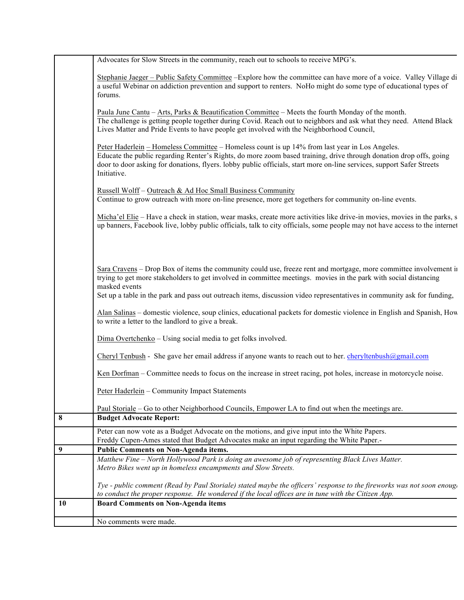|    | Advocates for Slow Streets in the community, reach out to schools to receive MPG's.                                                                                                                                                                                                                                                                          |
|----|--------------------------------------------------------------------------------------------------------------------------------------------------------------------------------------------------------------------------------------------------------------------------------------------------------------------------------------------------------------|
|    | Stephanie Jaeger – Public Safety Committee – Explore how the committee can have more of a voice. Valley Village di<br>a useful Webinar on addiction prevention and support to renters. NoHo might do some type of educational types of<br>forums.                                                                                                            |
|    | Paula June Cantu - Arts, Parks & Beautification Committee - Meets the fourth Monday of the month.<br>The challenge is getting people together during Covid. Reach out to neighbors and ask what they need. Attend Black<br>Lives Matter and Pride Events to have people get involved with the Neighborhood Council,                                          |
|    | Peter Haderlein – Homeless Committee – Homeless count is up 14% from last year in Los Angeles.<br>Educate the public regarding Renter's Rights, do more zoom based training, drive through donation drop offs, going<br>door to door asking for donations, flyers. lobby public officials, start more on-line services, support Safer Streets<br>Initiative. |
|    | Russell Wolff - Outreach & Ad Hoc Small Business Community<br>Continue to grow outreach with more on-line presence, more get togethers for community on-line events.                                                                                                                                                                                         |
|    | Micha'el Elie – Have a check in station, wear masks, create more activities like drive-in movies, movies in the parks, s<br>up banners, Facebook live, lobby public officials, talk to city officials, some people may not have access to the internet                                                                                                       |
|    |                                                                                                                                                                                                                                                                                                                                                              |
|    | Sara Cravens – Drop Box of items the community could use, freeze rent and mortgage, more committee involvement in<br>trying to get more stakeholders to get involved in committee meetings. movies in the park with social distancing<br>masked events                                                                                                       |
|    | Set up a table in the park and pass out outreach items, discussion video representatives in community ask for funding,                                                                                                                                                                                                                                       |
|    | Alan Salinas – domestic violence, soup clinics, educational packets for domestic violence in English and Spanish, How<br>to write a letter to the landlord to give a break.                                                                                                                                                                                  |
|    | $Dima$ Overtchenko – Using social media to get folks involved.                                                                                                                                                                                                                                                                                               |
|    | Cheryl Tenbush - She gave her email address if anyone wants to reach out to her. cheryltenbush@gmail.com                                                                                                                                                                                                                                                     |
|    | Ken Dorfman – Committee needs to focus on the increase in street racing, pot holes, increase in motorcycle noise.                                                                                                                                                                                                                                            |
|    | Peter Haderlein – Community Impact Statements                                                                                                                                                                                                                                                                                                                |
| 8  | Paul Storiale – Go to other Neighborhood Councils, Empower LA to find out when the meetings are.<br><b>Budget Advocate Report:</b>                                                                                                                                                                                                                           |
|    |                                                                                                                                                                                                                                                                                                                                                              |
|    | Peter can now vote as a Budget Advocate on the motions, and give input into the White Papers.<br>Freddy Cupen-Ames stated that Budget Advocates make an input regarding the White Paper.-                                                                                                                                                                    |
| 9  | Public Comments on Non-Agenda items.                                                                                                                                                                                                                                                                                                                         |
|    | Matthew Fine - North Hollywood Park is doing an awesome job of representing Black Lives Matter.                                                                                                                                                                                                                                                              |
|    | Metro Bikes went up in homeless encampments and Slow Streets.                                                                                                                                                                                                                                                                                                |
|    | Tye - public comment (Read by Paul Storiale) stated maybe the officers' response to the fireworks was not soon enoug.                                                                                                                                                                                                                                        |
|    | to conduct the proper response. He wondered if the local offices are in tune with the Citizen App.                                                                                                                                                                                                                                                           |
| 10 | <b>Board Comments on Non-Agenda items</b>                                                                                                                                                                                                                                                                                                                    |
|    | No comments were made.                                                                                                                                                                                                                                                                                                                                       |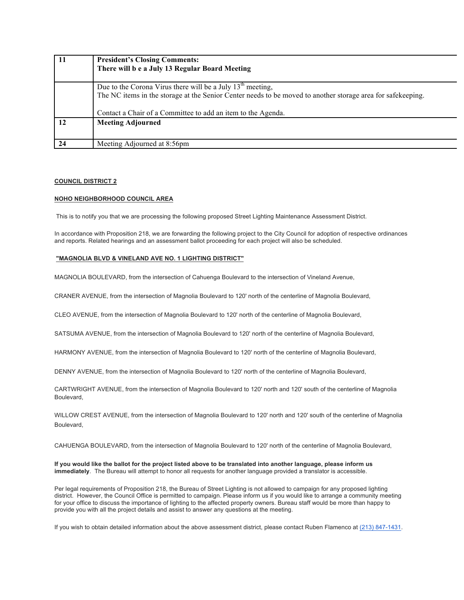| 11 | <b>President's Closing Comments:</b>                                                                        |
|----|-------------------------------------------------------------------------------------------------------------|
|    | There will b e a July 13 Regular Board Meeting                                                              |
|    |                                                                                                             |
|    | Due to the Corona Virus there will be a July $13th$ meeting,                                                |
|    | The NC items in the storage at the Senior Center needs to be moved to another storage area for safekeeping. |
|    | Contact a Chair of a Committee to add an item to the Agenda.                                                |
| 12 | <b>Meeting Adjourned</b>                                                                                    |
|    |                                                                                                             |
| 24 | Meeting Adjourned at 8:56pm                                                                                 |

#### **COUNCIL DISTRICT 2**

#### **NOHO NEIGHBORHOOD COUNCIL AREA**

This is to notify you that we are processing the following proposed Street Lighting Maintenance Assessment District.

In accordance with Proposition 218, we are forwarding the following project to the City Council for adoption of respective ordinances and reports. Related hearings and an assessment ballot proceeding for each project will also be scheduled.

### **"MAGNOLIA BLVD & VINELAND AVE NO. 1 LIGHTING DISTRICT"**

MAGNOLIA BOULEVARD, from the intersection of Cahuenga Boulevard to the intersection of Vineland Avenue,

CRANER AVENUE, from the intersection of Magnolia Boulevard to 120' north of the centerline of Magnolia Boulevard,

CLEO AVENUE, from the intersection of Magnolia Boulevard to 120' north of the centerline of Magnolia Boulevard,

SATSUMA AVENUE, from the intersection of Magnolia Boulevard to 120' north of the centerline of Magnolia Boulevard,

HARMONY AVENUE, from the intersection of Magnolia Boulevard to 120' north of the centerline of Magnolia Boulevard,

DENNY AVENUE, from the intersection of Magnolia Boulevard to 120' north of the centerline of Magnolia Boulevard,

CARTWRIGHT AVENUE, from the intersection of Magnolia Boulevard to 120' north and 120' south of the centerline of Magnolia Boulevard,

WILLOW CREST AVENUE, from the intersection of Magnolia Boulevard to 120' north and 120' south of the centerline of Magnolia Boulevard,

CAHUENGA BOULEVARD, from the intersection of Magnolia Boulevard to 120' north of the centerline of Magnolia Boulevard,

**If you would like the ballot for the project listed above to be translated into another language, please inform us immediately**. The Bureau will attempt to honor all requests for another language provided a translator is accessible.

Per legal requirements of Proposition 218, the Bureau of Street Lighting is not allowed to campaign for any proposed lighting district. However, the Council Office is permitted to campaign. Please inform us if you would like to arrange a community meeting for your office to discuss the importance of lighting to the affected property owners. Bureau staff would be more than happy to provide you with all the project details and assist to answer any questions at the meeting.

If you wish to obtain detailed information about the above assessment district, please contact Ruben Flamenco at (213) 847-1431.